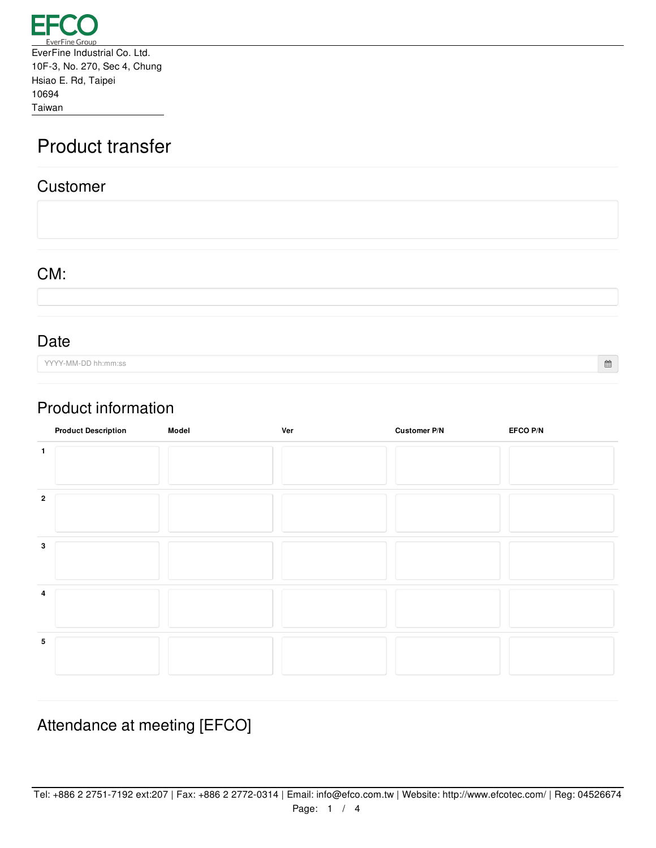

# Product transfer

#### Customer

CM:

Date

YYYY-MM-DD hh:mm:ss

 $\widehat{\boxplus}$ 

### Product information

|              | <b>Product Description</b> | Model | Ver | Customer P/N | EFCO P/N |
|--------------|----------------------------|-------|-----|--------------|----------|
|              |                            |       |     |              |          |
| $\mathbf{2}$ |                            |       |     |              |          |
| 3            |                            |       |     |              |          |
| 4            |                            |       |     |              |          |
| 5            |                            |       |     |              |          |

## Attendance at meeting [EFCO]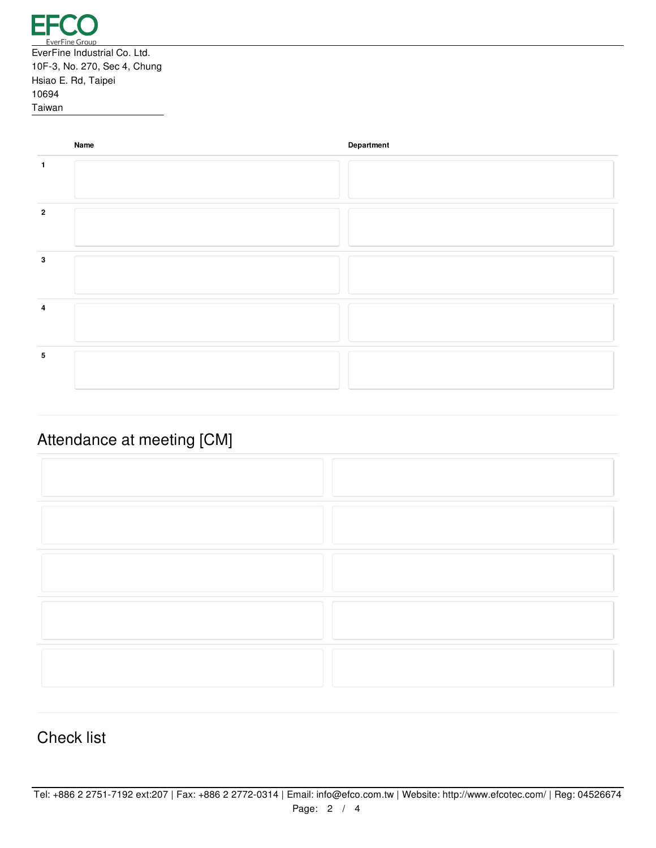|              | Name | Department |
|--------------|------|------------|
| 1            |      |            |
| $\mathbf{2}$ |      |            |
| 3            |      |            |
| 4            |      |            |
| 5            |      |            |

# Attendance at meeting [CM]

#### Check list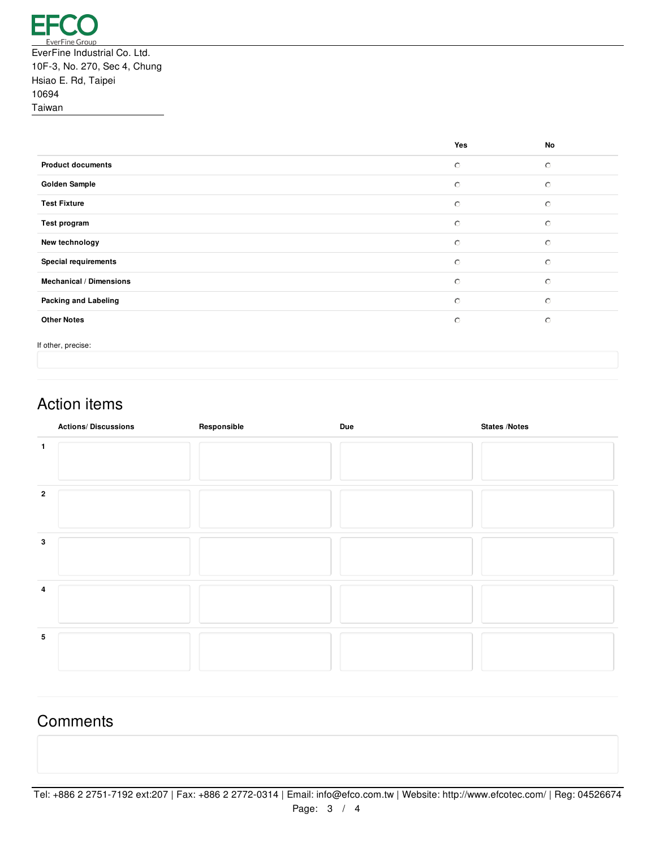|                                | Yes     | No      |
|--------------------------------|---------|---------|
| <b>Product documents</b>       | $\circ$ | $\circ$ |
| <b>Golden Sample</b>           | $\circ$ | $\circ$ |
| <b>Test Fixture</b>            | $\circ$ | $\circ$ |
| Test program                   | $\circ$ | $\circ$ |
| New technology                 | $\circ$ | $\circ$ |
| <b>Special requirements</b>    | $\circ$ | $\circ$ |
| <b>Mechanical / Dimensions</b> | $\circ$ | $\circ$ |
| <b>Packing and Labeling</b>    | $\circ$ | $\circ$ |
| <b>Other Notes</b>             | $\circ$ | $\circ$ |
|                                |         |         |

If other, precise:

## Action items

|              | <b>Actions/Discussions</b> | Responsible | <b>Due</b> | <b>States /Notes</b> |
|--------------|----------------------------|-------------|------------|----------------------|
| 1            |                            |             |            |                      |
| $\mathbf{2}$ |                            |             |            |                      |
| $\mathbf{3}$ |                            |             |            |                      |
| 4            |                            |             |            |                      |
| 5            |                            |             |            |                      |

### **Comments**